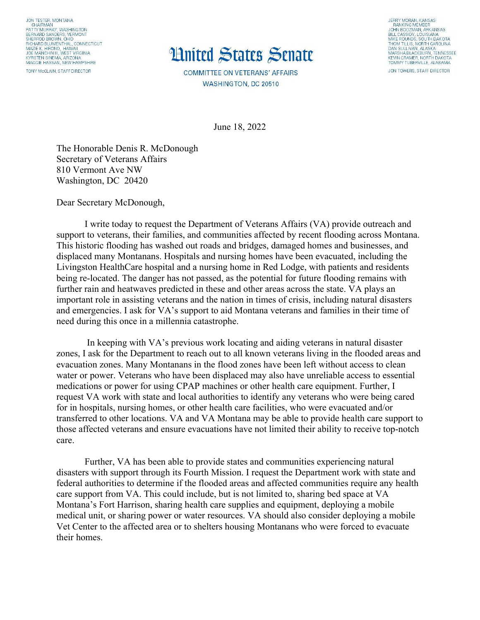JON TESTER, MONTANA CHAIRMAN<br>PATTY MURRAY, WASHINGTON PATTY MURRIAY, WASHING TON<br>BERNARD SANDERS, VERMONT<br>SHERROD BROWN, OHIO<br>RICHARD BLUMENTHAL, CONNECTICUT<br>MAZIE K. HIRONO, HAWAII<br>JOE MANCHIN III, WEST VIRGINIA<br>KYRSTEN SINEMA, ARIZONA AND TRESTIN MAGGIE HASSAN, NEW HAMPSHIRE TONY McCLAIN, STAFF DIRECTOR

## **Huited States Senate**

**COMMITTEE ON VETERANS' AFFAIRS** WASHINGTON, DC 20510

JERRY MORAN, KANSAS<br>RANKING MÉMBER<br>JOHN BOOZMAN, ARKANSAS<br>BILL CASSIDY, LOUISIANA<br>MIKE ROUNDS, SOUTH DAKOTA<br>THOM TILLIS, NORTH CAROLINA<br>THOM TILLIS, NORTH CAROLINA DAN SULLIVAN, ALASKA<br>MARSHA BLACKBURN, TENNESSEE KEVIN CRAMER, NORTH DAK TOMMY TUBERVILLE, ALABAMA JON TOWERS, STAFF DIRECTOR

June 18, 2022

The Honorable Denis R. McDonough Secretary of Veterans Affairs 810 Vermont Ave NW Washington, DC 20420

Dear Secretary McDonough,

I write today to request the Department of Veterans Affairs (VA) provide outreach and support to veterans, their families, and communities affected by recent flooding across Montana. This historic flooding has washed out roads and bridges, damaged homes and businesses, and displaced many Montanans. Hospitals and nursing homes have been evacuated, including the Livingston HealthCare hospital and a nursing home in Red Lodge, with patients and residents being re-located. The danger has not passed, as the potential for future flooding remains with further rain and heatwaves predicted in these and other areas across the state. VA plays an important role in assisting veterans and the nation in times of crisis, including natural disasters and emergencies. I ask for VA's support to aid Montana veterans and families in their time of need during this once in a millennia catastrophe.

In keeping with VA's previous work locating and aiding veterans in natural disaster zones, I ask for the Department to reach out to all known veterans living in the flooded areas and evacuation zones. Many Montanans in the flood zones have been left without access to clean water or power. Veterans who have been displaced may also have unreliable access to essential medications or power for using CPAP machines or other health care equipment. Further, I request VA work with state and local authorities to identify any veterans who were being cared for in hospitals, nursing homes, or other health care facilities, who were evacuated and/or transferred to other locations. VA and VA Montana may be able to provide health care support to those affected veterans and ensure evacuations have not limited their ability to receive top-notch care.

Further, VA has been able to provide states and communities experiencing natural disasters with support through its Fourth Mission. I request the Department work with state and federal authorities to determine if the flooded areas and affected communities require any health care support from VA. This could include, but is not limited to, sharing bed space at VA Montana's Fort Harrison, sharing health care supplies and equipment, deploying a mobile medical unit, or sharing power or water resources. VA should also consider deploying a mobile Vet Center to the affected area or to shelters housing Montanans who were forced to evacuate their homes.